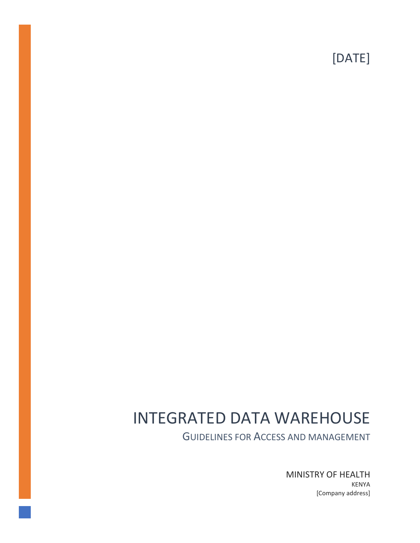[DATE]

# INTEGRATED DATA WAREHOUSE

GUIDELINES FOR ACCESS AND MANAGEMENT

MINISTRY OF HEALTH KENYA [Company address]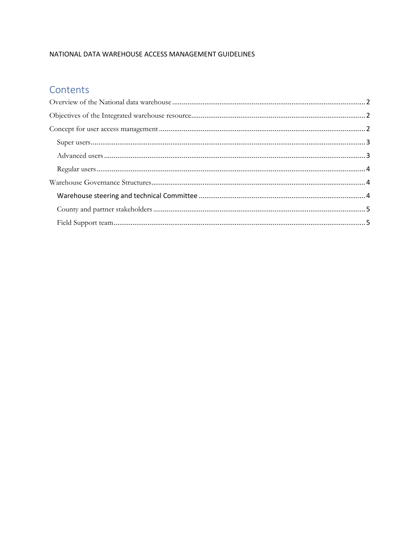### NATIONAL DATA WAREHOUSE ACCESS MANAGEMENT GUIDELINES

## Contents

<span id="page-1-0"></span>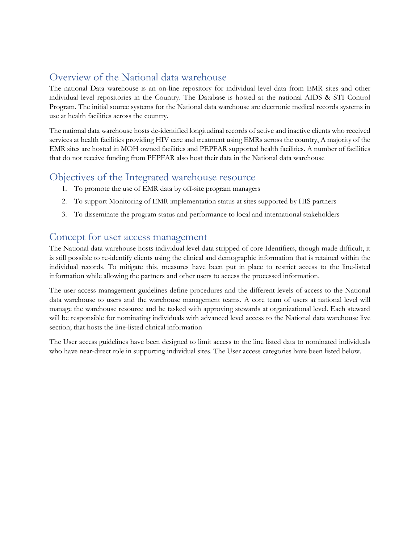# Overview of the National data warehouse

The national Data warehouse is an on-line repository for individual level data from EMR sites and other individual level repositories in the Country. The Database is hosted at the national AIDS & STI Control Program. The initial source systems for the National data warehouse are electronic medical records systems in use at health facilities across the country.

The national data warehouse hosts de-identified longitudinal records of active and inactive clients who received services at health facilities providing HIV care and treatment using EMRs across the country, A majority of the EMR sites are hosted in MOH owned facilities and PEPFAR supported health facilities. A number of facilities that do not receive funding from PEPFAR also host their data in the National data warehouse

# <span id="page-2-0"></span>Objectives of the Integrated warehouse resource

- 1. To promote the use of EMR data by off-site program managers
- 2. To support Monitoring of EMR implementation status at sites supported by HIS partners
- 3. To disseminate the program status and performance to local and international stakeholders

### <span id="page-2-1"></span>Concept for user access management

The National data warehouse hosts individual level data stripped of core Identifiers, though made difficult, it is still possible to re-identify clients using the clinical and demographic information that is retained within the individual records. To mitigate this, measures have been put in place to restrict access to the line-listed information while allowing the partners and other users to access the processed information.

The user access management guidelines define procedures and the different levels of access to the National data warehouse to users and the warehouse management teams. A core team of users at national level will manage the warehouse resource and be tasked with approving stewards at organizational level. Each steward will be responsible for nominating individuals with advanced level access to the National data warehouse live section; that hosts the line-listed clinical information

The User access guidelines have been designed to limit access to the line listed data to nominated individuals who have near-direct role in supporting individual sites. The User access categories have been listed below.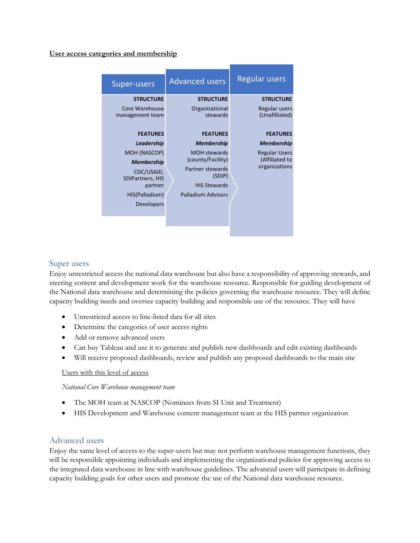#### **User access categories and membership**

| Super-users                                                                                                                                                                                                            | <b>Advanced users</b>                                                                                                                                                                                                | <b>Regular users</b>                                                                                                                                   |
|------------------------------------------------------------------------------------------------------------------------------------------------------------------------------------------------------------------------|----------------------------------------------------------------------------------------------------------------------------------------------------------------------------------------------------------------------|--------------------------------------------------------------------------------------------------------------------------------------------------------|
| <b>STRUCTURE</b><br>Core Warehouse<br>management team<br><b>FEATURES</b><br>Leadership<br>MOH (NASCOP)<br><b>Membership</b><br>CDC/USAID,<br><b>SDIPartners, HIS</b><br>partner<br>HIS(Palladium)<br><b>Developers</b> | <b>STRUCTURE</b><br>Organizational<br>stewards<br><b>FEATURES</b><br><b>Membership</b><br><b>MOH</b> stewards<br>(county/Facility)<br>Partner stewards<br>(SDIP)<br><b>HIS Stewards</b><br><b>Palladium Advisors</b> | <b>STRUCTURE</b><br>Regular users<br>(Unafilliated)<br><b>FEATURES</b><br><b>Membership</b><br><b>Regular Users</b><br>(Affiliated to<br>organizations |

#### <span id="page-3-0"></span>Super users

Enjoy unrestricted access the national data warehouse but also have a responsibility of approving stewards, and steering content and development work for the warehouse resource. Responsible for guiding development of the National data warehouse and determining the policies governing the warehouse resource. They will define capacity building needs and oversee capacity building and responsible use of the resource. They will have

- Unrestricted access to line-listed data for all sites
- Determine the categories of user access rights
- Add or remove advanced users
- Can buy Tableau and use it to generate and publish new dashboards and edit existing dashboards
- Will receive proposed dashboards, review and publish any proposed dashboards to the main site

#### Users with this level of access

*National Core Warehouse management team*

- The MOH team at NASCOP (Nominees from SI Unit and Treatment)
- HIS Development and Warehouse content management team at the HIS partner organization

#### <span id="page-3-1"></span>Advanced users

Enjoy the same level of access to the super-users but may not perform warehouse management functions, they will be responsible appointing individuals and implementing the organizational policies for approving access to the integrated data warehouse in line with warehouse guidelines. The advanced users will participate in defining capacity building goals for other users and promote the use of the National data warehouse resource.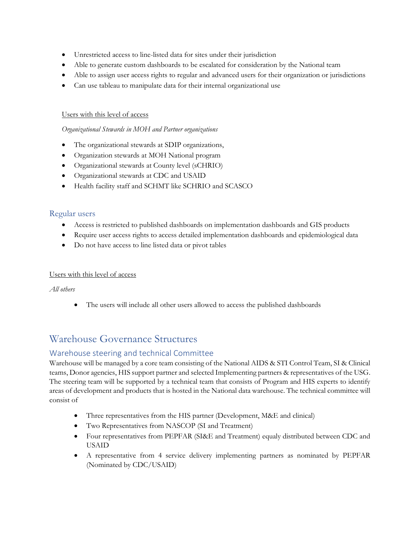- Unrestricted access to line-listed data for sites under their jurisdiction
- Able to generate custom dashboards to be escalated for consideration by the National team
- Able to assign user access rights to regular and advanced users for their organization or jurisdictions
- Can use tableau to manipulate data for their internal organizational use

#### Users with this level of access

#### *Organizational Stewards in MOH and Partner organizations*

- The organizational stewards at SDIP organizations,
- Organization stewards at MOH National program
- Organizational stewards at County level (sCHRIO)
- Organizational stewards at CDC and USAID
- Health facility staff and SCHMT like SCHRIO and SCASCO

#### <span id="page-4-0"></span>Regular users

- Access is restricted to published dashboards on implementation dashboards and GIS products
- Require user access rights to access detailed implementation dashboards and epidemiological data
- Do not have access to line listed data or pivot tables

#### Users with this level of access

*All others*

• The users will include all other users allowed to access the published dashboards

# <span id="page-4-1"></span>Warehouse Governance Structures

### <span id="page-4-2"></span>Warehouse steering and technical Committee

Warehouse will be managed by a core team consisting of the National AIDS & STI Control Team, SI & Clinical teams, Donor agencies, HIS support partner and selected Implementing partners & representatives of the USG. The steering team will be supported by a technical team that consists of Program and HIS experts to identify areas of development and products that is hosted in the National data warehouse. The technical committee will consist of

- Three representatives from the HIS partner (Development, M&E and clinical)
- Two Representatives from NASCOP (SI and Treatment)
- Four representatives from PEPFAR (SI&E and Treatment) equaly distributed between CDC and USAID
- A representative from 4 service delivery implementing partners as nominated by PEPFAR (Nominated by CDC/USAID)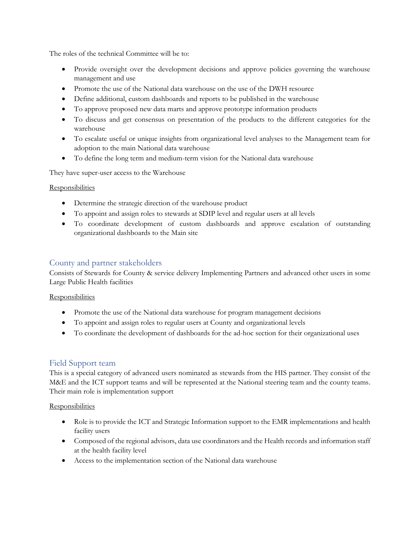The roles of the technical Committee will be to:

- Provide oversight over the development decisions and approve policies governing the warehouse management and use
- Promote the use of the National data warehouse on the use of the DWH resource
- Define additional, custom dashboards and reports to be published in the warehouse
- To approve proposed new data marts and approve prototype information products
- To discuss and get consensus on presentation of the products to the different categories for the warehouse
- To escalate useful or unique insights from organizational level analyses to the Management team for adoption to the main National data warehouse
- To define the long term and medium-term vision for the National data warehouse

They have super-user access to the Warehouse

#### **Responsibilities**

- Determine the strategic direction of the warehouse product
- To appoint and assign roles to stewards at SDIP level and regular users at all levels
- To coordinate development of custom dashboards and approve escalation of outstanding organizational dashboards to the Main site

### <span id="page-5-0"></span>County and partner stakeholders

Consists of Stewards for County & service delivery Implementing Partners and advanced other users in some Large Public Health facilities

#### **Responsibilities**

- Promote the use of the National data warehouse for program management decisions
- To appoint and assign roles to regular users at County and organizational levels
- To coordinate the development of dashboards for the ad-hoc section for their organizational uses

### <span id="page-5-1"></span>Field Support team

This is a special category of advanced users nominated as stewards from the HIS partner. They consist of the M&E and the ICT support teams and will be represented at the National steering team and the county teams. Their main role is implementation support

#### **Responsibilities**

- Role is to provide the ICT and Strategic Information support to the EMR implementations and health facility users
- Composed of the regional advisors, data use coordinators and the Health records and information staff at the health facility level
- Access to the implementation section of the National data warehouse